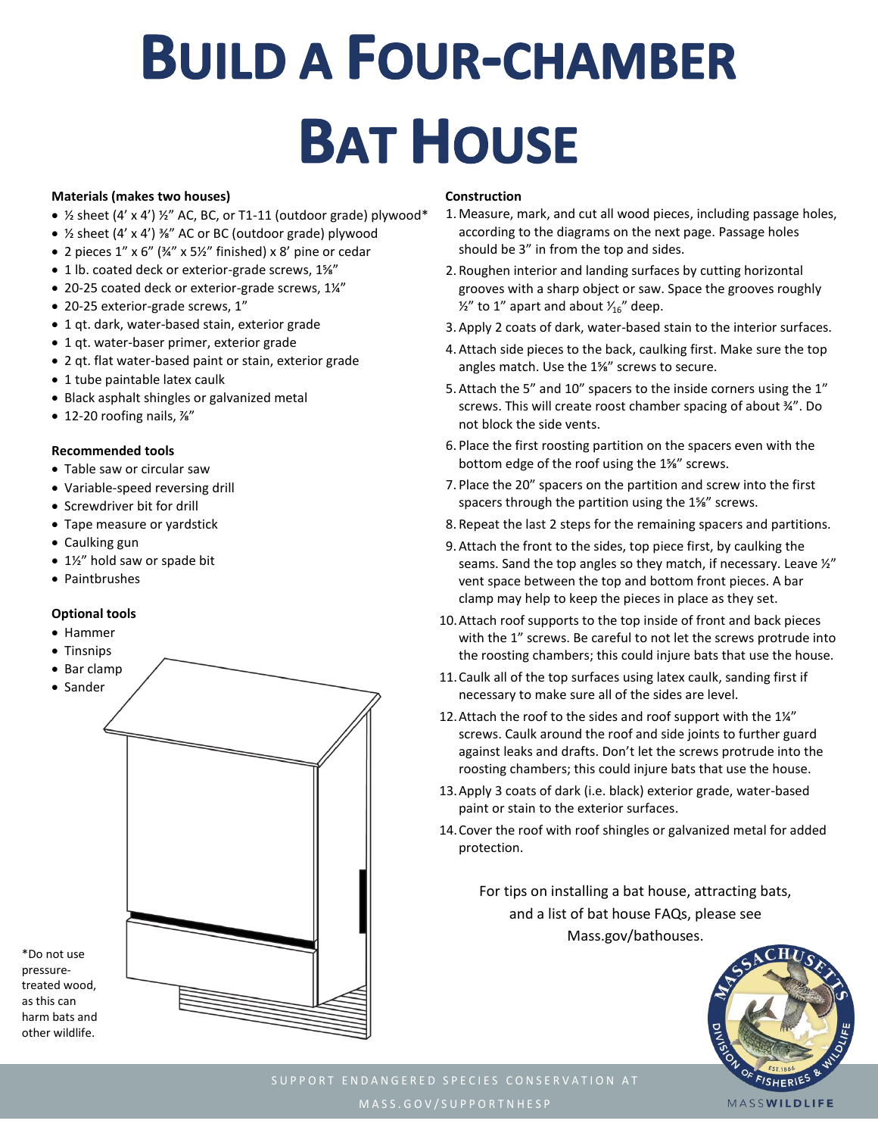# **BUILD A FOUR-CHAMBER BAT HOUSE**

#### **Materials (makes two houses)**

- $\frac{1}{2}$  sheet (4' x 4')  $\frac{1}{2}$ " AC, BC, or T1-11 (outdoor grade) plywood\*
- ½ sheet (4' x 4') ⅜" AC or BC (outdoor grade) plywood
- 2 pieces 1" x 6" (¾" x 5½" finished) x 8' pine or cedar
- 1 lb. coated deck or exterior-grade screws, 1⅝"
- 20-25 coated deck or exterior-grade screws, 1¼"
- 20-25 exterior-grade screws, 1"
- 1 qt. dark, water-based stain, exterior grade
- 1 qt. water-baser primer, exterior grade
- 2 qt. flat water-based paint or stain, exterior grade
- 1 tube paintable latex caulk
- Black asphalt shingles or galvanized metal
- 12-20 roofing nails, ⅞"

#### **Recommended tools**

- Table saw or circular saw
- Variable-speed reversing drill
- Screwdriver bit for drill
- Tape measure or yardstick
- Caulking gun
- 1½" hold saw or spade bit
- Paintbrushes

## **Optional tools**

- Hammer
- Tinsnips
- Bar clamp
- Sander

\*Do not use pressure-

as this can



### **Construction**

- 1. Measure, mark, and cut all wood pieces, including passage holes, according to the diagrams on the next page. Passage holes should be 3" in from the top and sides.
- 2. Roughen interior and landing surfaces by cutting horizontal grooves with a sharp object or saw. Space the grooves roughly  $\frac{1}{2}$ " to 1" apart and about  $\frac{1}{16}$ " deep.
- 3. Apply 2 coats of dark, water-based stain to the interior surfaces.
- 4. Attach side pieces to the back, caulking first. Make sure the top angles match. Use the 1⅝" screws to secure.
- 5. Attach the 5" and 10" spacers to the inside corners using the 1" screws. This will create roost chamber spacing of about ¾". Do not block the side vents.
- 6. Place the first roosting partition on the spacers even with the bottom edge of the roof using the 1⅝" screws.
- 7. Place the 20" spacers on the partition and screw into the first spacers through the partition using the 1⅝" screws.
- 8. Repeat the last 2 steps for the remaining spacers and partitions.
- 9. Attach the front to the sides, top piece first, by caulking the seams. Sand the top angles so they match, if necessary. Leave ½" vent space between the top and bottom front pieces. A bar clamp may help to keep the pieces in place as they set.
- 10.Attach roof supports to the top inside of front and back pieces with the 1" screws. Be careful to not let the screws protrude into the roosting chambers; this could injure bats that use the house.
- 11.Caulk all of the top surfaces using latex caulk, sanding first if necessary to make sure all of the sides are level.
- 12.Attach the roof to the sides and roof support with the 1¼" screws. Caulk around the roof and side joints to further guard against leaks and drafts. Don't let the screws protrude into the roosting chambers; this could injure bats that use the house.
- 13.Apply 3 coats of dark (i.e. black) exterior grade, water-based paint or stain to the exterior surfaces.
- 14.Cover the roof with roof shingles or galvanized metal for added protection.

For tips on installing a bat house, attracting bats, and a list of bat house FAQs, please see Mass.gov/bathouses.